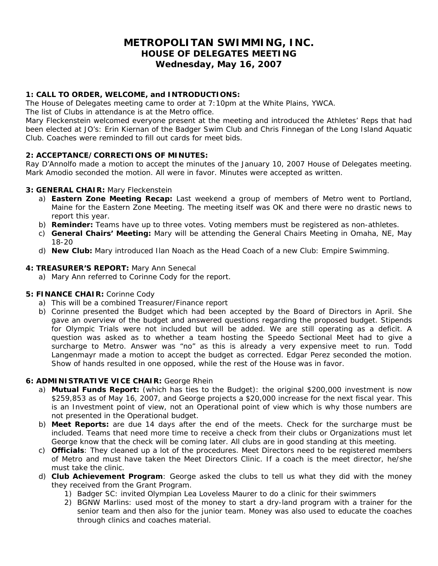## **METROPOLITAN SWIMMING, INC. HOUSE OF DELEGATES MEETING Wednesday, May 16, 2007**

## **1: CALL TO ORDER, WELCOME, and INTRODUCTIONS:**

The House of Delegates meeting came to order at 7:10pm at the White Plains, YWCA.

The list of Clubs in attendance is at the Metro office.

Mary Fleckenstein welcomed everyone present at the meeting and introduced the Athletes' Reps that had been elected at JO's: Erin Kiernan of the Badger Swim Club and Chris Finnegan of the Long Island Aquatic Club. Coaches were reminded to fill out cards for meet bids.

## **2: ACCEPTANCE/CORRECTIONS OF MINUTES:**

Ray D'Annolfo made a motion to accept the minutes of the January 10, 2007 House of Delegates meeting. Mark Amodio seconded the motion. All were in favor. Minutes were accepted as written.

#### **3: GENERAL CHAIR:** Mary Fleckenstein

- a) *Eastern Zone Meeting Recap:* Last weekend a group of members of Metro went to Portland, Maine for the Eastern Zone Meeting. The meeting itself was OK and there were no drastic news to report this year.
- b) *Reminder:* Teams have up to three votes. Voting members must be registered as non-athletes.
- c) *General Chairs' Meeting:* Mary will be attending the General Chairs Meeting in Omaha, NE, May 18-20
- d) *New Club:* Mary introduced Ilan Noach as the Head Coach of a new Club: Empire Swimming.

#### **4: TREASURER'S REPORT:** Mary Ann Senecal

a) Mary Ann referred to Corinne Cody for the report.

#### **5: FINANCE CHAIR:** Corinne Cody

- a) This will be a combined Treasurer/Finance report
- b) Corinne presented the Budget which had been accepted by the Board of Directors in April. She gave an overview of the budget and answered questions regarding the proposed budget. Stipends for Olympic Trials were not included but will be added. We are still operating as a deficit. A question was asked as to whether a team hosting the Speedo Sectional Meet had to give a surcharge to Metro. Answer was "no" as this is already a very expensive meet to run. Todd Langenmayr made a motion to accept the budget as corrected. Edgar Perez seconded the motion. Show of hands resulted in one opposed, while the rest of the House was in favor.

#### **6: ADMINISTRATIVE VICE CHAIR:** George Rhein

- a) **Mutual Funds Report:** (which has ties to the Budget): the original \$200,000 investment is now \$259,853 as of May 16, 2007, and George projects a \$20,000 increase for the next fiscal year. This is an Investment point of view, not an Operational point of view which is why those numbers are not presented in the Operational budget.
- b) **Meet Reports:** are due 14 days after the end of the meets. Check for the surcharge must be included. Teams that need more time to receive a check from their clubs or Organizations must let George know that the check will be coming later. All clubs are in good standing at this meeting.
- c) **Officials**: They cleaned up a lot of the procedures. Meet Directors need to be registered members of Metro and must have taken the Meet Directors Clinic. If a coach is the meet director, he/she must take the clinic.
- d) **Club Achievement Program**: George asked the clubs to tell us what they did with the money they received from the Grant Program.
	- 1) Badger SC: invited Olympian Lea Loveless Maurer to do a clinic for their swimmers
	- 2) BGNW Marlins: used most of the money to start a dry-land program with a trainer for the senior team and then also for the junior team. Money was also used to educate the coaches through clinics and coaches material.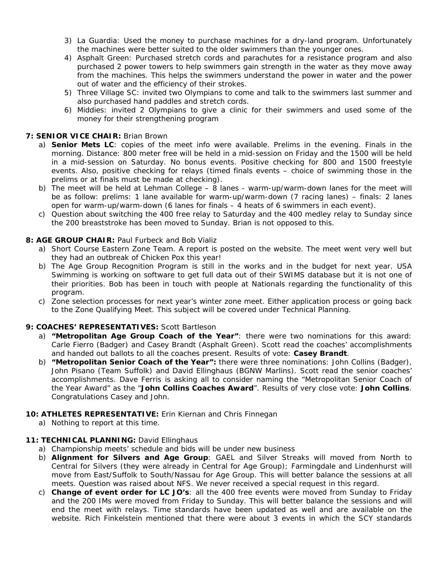- 3) La Guardia: Used the money to purchase machines for a dry-land program. Unfortunately the machines were better suited to the older swimmers than the younger ones.
- 4) Asphalt Green: Purchased stretch cords and parachutes for a resistance program and also purchased 2 power towers to help swimmers gain strength in the water as they move away from the machines. This helps the swimmers understand the power in water and the power out of water and the efficiency of their strokes.
- 5) Three Village SC: invited two Olympians to come and talk to the swimmers last summer and also purchased hand paddles and stretch cords.
- 6) Middies: invited 2 Olympians to give a clinic for their swimmers and used some of the money for their strengthening program

## **7: SENIOR VICE CHAIR:** Brian Brown

- a) **Senior Mets LC**: copies of the meet info were available. Prelims in the evening. Finals in the morning. Distance: 800 meter free will be held in a mid-session on Friday and the 1500 will be held in a mid-session on Saturday. No bonus events. Positive checking for 800 and 1500 freestyle events. Also, positive checking for relays (timed finals events – choice of swimming those in the prelims or at finals must be made at checking).
- b) The meet will be held at Lehman College 8 lanes warm-up/warm-down lanes for the meet will be as follow: prelims: 1 lane available for warm-up/warm-down (7 racing lanes) – finals: 2 lanes open for warm-up/warm-down (6 lanes for finals – 4 heats of 6 swimmers in each event).
- c) Question about switching the 400 free relay to Saturday and the 400 medley relay to Sunday since the 200 breaststroke has been moved to Sunday. Brian is not opposed to this.

#### **8: AGE GROUP CHAIR:** Paul Furbeck and Bob Vializ

- a) Short Course Eastern Zone Team. A report is posted on the website. The meet went very well but they had an outbreak of Chicken Pox this year!
- b) The Age Group Recognition Program is still in the works and in the budget for next year. USA Swimming is working on software to get full data out of their SWIMS database but it is not one of their priorities. Bob has been in touch with people at Nationals regarding the functionality of this program.
- c) Zone selection processes for next year's winter zone meet. Either application process or going back to the Zone Qualifying Meet. This subject will be covered under Technical Planning.

#### **9: COACHES' REPRESENTATIVES:** Scott Bartleson

- a) **"Metropolitan Age Group Coach of the Year"**: there were two nominations for this award: Carle Fierro (Badger) and Casey Brandt (Asphalt Green). Scott read the coaches' accomplishments and handed out ballots to all the coaches present. Results of vote: **Casey Brandt**.
- b) **"Metropolitan Senior Coach of the Year":** there were three nominations: John Collins (Badger), John Pisano (Team Suffolk) and David Ellinghaus (BGNW Marlins). Scott read the senior coaches' accomplishments. Dave Ferris is asking all to consider naming the "Metropolitan Senior Coach of the Year Award" as the "**John Collins Coaches Award**". Results of very close vote: **John Collins**. Congratulations Casey and John.

#### **10: ATHLETES REPRESENTATIVE:** Erin Kiernan and Chris Finnegan

a) Nothing to report at this time.

#### 11: TECHNICAL PLANNING: David Ellinghaus

- a) Championship meets' schedule and bids will be under new business
- b) **Alignment for Silvers and Age Group**: GAEL and Silver Streaks will moved from North to Central for Silvers (they were already in Central for Age Group); Farmingdale and Lindenhurst will move from East/Suffolk to South/Nassau for Age Group. This will better balance the sessions at all meets. Question was raised about NFS. We never received a special request in this regard.
- c) **Change of event order for LC JO's**: all the 400 free events were moved from Sunday to Friday and the 200 IMs were moved from Friday to Sunday. This will better balance the sessions and will end the meet with relays. Time standards have been updated as well and are available on the website. Rich Finkelstein mentioned that there were about 3 events in which the SCY standards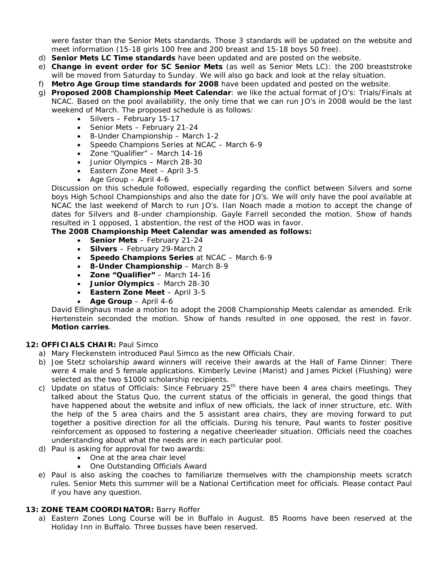were faster than the Senior Mets standards. Those 3 standards will be updated on the website and meet information (15-18 girls 100 free and 200 breast and 15-18 boys 50 free).

- d) **Senior Mets LC Time standards** have been updated and are posted on the website.
- e) **Change in event order for SC Senior Mets** (as well as Senior Mets LC): the 200 breaststroke will be moved from Saturday to Sunday. We will also go back and look at the relay situation.
- f) **Metro Age Group time standards for 2008** have been updated and posted on the website.
- g) **Proposed 2008 Championship Meet Calendar**: we like the actual format of JO's: Trials/Finals at NCAC. Based on the pool availability, the only time that we can run JO's in 2008 would be the last weekend of March. The proposed schedule is as follows:
	- Silvers February 15-17
	- Senior Mets February 21-24
	- 8-Under Championship March 1-2
	- Speedo Champions Series at NCAC March 6-9
	- Zone "Qualifier" March 14-16
	- Junior Olympics March 28-30
	- Eastern Zone Meet April 3-5
	- Age Group April 4-6

Discussion on this schedule followed, especially regarding the conflict between Silvers and some boys High School Championships and also the date for JO's. We will only have the pool available at NCAC the last weekend of March to run JO's. Ilan Noach made a motion to accept the change of dates for Silvers and 8-under championship. Gayle Farrell seconded the motion. Show of hands resulted in 1 opposed, 1 abstention, the rest of the HOD was in favor.

#### **The 2008 Championship Meet Calendar was amended as follows:**

- **Senior Mets** February 21-24
- **Silvers** February 29-March 2
- **Speedo Champions Series** at NCAC March 6-9
- **8-Under Championship** March 8-9
- **Zone "Qualifier"** March 14-16
- **Junior Olympics** March 28-30
- **Eastern Zone Meet** April 3-5
- **Age Group** April 4-6

David Ellinghaus made a motion to adopt the 2008 Championship Meets calendar as amended. Erik Hertenstein seconded the motion. Show of hands resulted in one opposed, the rest in favor. **Motion carries**.

#### **12: OFFICIALS CHAIR:** Paul Simco

- a) Mary Fleckenstein introduced Paul Simco as the new Officials Chair.
- b) Joe Stetz scholarship award winners will receive their awards at the Hall of Fame Dinner: There were 4 male and 5 female applications. Kimberly Levine (Marist) and James Pickel (Flushing) were selected as the two \$1000 scholarship recipients.
- c) Update on status of Officials: Since February 25<sup>th</sup> there have been 4 area chairs meetings. They talked about the Status Quo, the current status of the officials in general, the good things that have happened about the website and influx of new officials, the lack of inner structure, etc. With the help of the 5 area chairs and the 5 assistant area chairs, they are moving forward to put together a positive direction for all the officials. During his tenure, Paul wants to foster positive reinforcement as opposed to fostering a negative cheerleader situation. Officials need the coaches understanding about what the needs are in each particular pool.
- d) Paul is asking for approval for two awards:
	- One at the area chair level
	- One Outstanding Officials Award
- e) Paul is also asking the coaches to familiarize themselves with the championship meets scratch rules. Senior Mets this summer will be a National Certification meet for officials. Please contact Paul if you have any question.

#### **13: ZONE TEAM COORDINATOR:** Barry Roffer

a) Eastern Zones Long Course will be in Buffalo in August. 85 Rooms have been reserved at the Holiday Inn in Buffalo. Three busses have been reserved.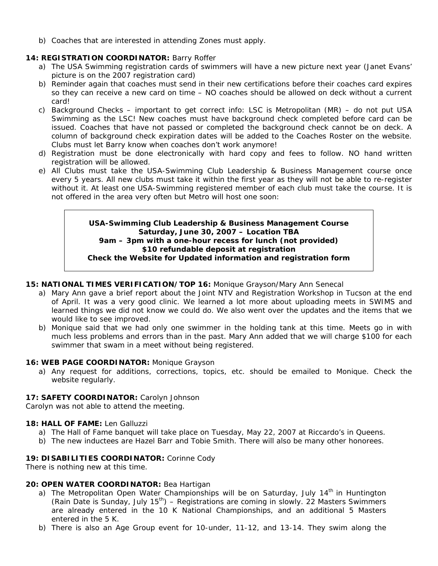b) Coaches that are interested in attending Zones must apply.

## **14: REGISTRATION COORDINATOR:** Barry Roffer

- a) The USA Swimming registration cards of swimmers will have a new picture next year (Janet Evans' picture is on the 2007 registration card)
- b) Reminder again that coaches must send in their new certifications before their coaches card expires so they can receive a new card on time – NO coaches should be allowed on deck without a current card!
- c) Background Checks important to get correct info: LSC is Metropolitan (MR) do not put USA Swimming as the LSC! New coaches must have background check completed before card can be issued. Coaches that have not passed or completed the background check cannot be on deck. A column of background check expiration dates will be added to the Coaches Roster on the website. Clubs must let Barry know when coaches don't work anymore!
- d) Registration must be done electronically with hard copy and fees to follow. NO hand written registration will be allowed.
- e) All Clubs must take the USA-Swimming Club Leadership & Business Management course once every 5 years. All new clubs must take it within the first year as they will not be able to re-register without it. At least one USA-Swimming registered member of each club must take the course. It is not offered in the area very often but Metro will host one soon:

#### **USA-Swimming Club Leadership & Business Management Course Saturday, June 30, 2007 – Location TBA 9am – 3pm with a one-hour recess for lunch (not provided) \$10 refundable deposit at registration Check the Website for Updated information and registration form**

## **15: NATIONAL TIMES VERIFICATION/TOP 16:** Monique Grayson/Mary Ann Senecal

- a) Mary Ann gave a brief report about the Joint NTV and Registration Workshop in Tucson at the end of April. It was a very good clinic. We learned a lot more about uploading meets in SWIMS and learned things we did not know we could do. We also went over the updates and the items that we would like to see improved.
- b) Monique said that we had only one swimmer in the holding tank at this time. Meets go in with much less problems and errors than in the past. Mary Ann added that we will charge \$100 for each swimmer that swam in a meet without being registered.

#### **16: WEB PAGE COORDINATOR:** Monique Grayson

a) Any request for additions, corrections, topics, etc. should be emailed to Monique. Check the website regularly.

#### **17: SAFETY COORDINATOR:** Carolyn Johnson

Carolyn was not able to attend the meeting.

#### **18: HALL OF FAME:** Len Galluzzi

- a) The Hall of Fame banquet will take place on Tuesday, May 22, 2007 at Riccardo's in Queens.
- b) The new inductees are Hazel Barr and Tobie Smith. There will also be many other honorees.

#### **19: DISABILITIES COORDINATOR:** Corinne Cody

There is nothing new at this time.

#### **20: OPEN WATER COORDINATOR:** Bea Hartigan

- a) The Metropolitan Open Water Championships will be on Saturday, July  $14<sup>th</sup>$  in Huntington (Rain Date is Sunday, July 15<sup>th</sup>) – Registrations are coming in slowly. 22 Masters Swimmers are already entered in the 10 K National Championships, and an additional 5 Masters entered in the 5 K.
- b) There is also an Age Group event for 10-under, 11-12, and 13-14. They swim along the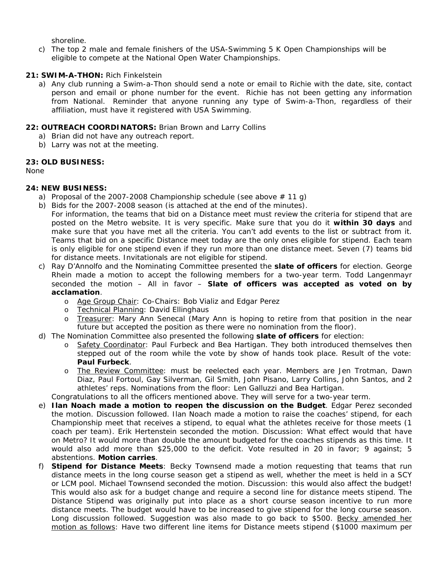shoreline.

c) The top 2 male and female finishers of the USA-Swimming 5 K Open Championships will be eligible to compete at the National Open Water Championships.

#### **21: SWIM-A-THON:** Rich Finkelstein

a) Any club running a Swim-a-Thon should send a note or email to Richie with the date, site, contact person and email or phone number for the event. Richie has not been getting any information from National. Reminder that anyone running any type of Swim-a-Thon, regardless of their affiliation, must have it registered with USA Swimming.

#### **22: OUTREACH COORDINATORS:** Brian Brown and Larry Collins

- a) Brian did not have any outreach report.
- b) Larry was not at the meeting.

#### **23: OLD BUSINESS:**

None

#### **24: NEW BUSINESS:**

- a) Proposal of the 2007-2008 Championship schedule (see above  $\#$  11 g)
- b) Bids for the 2007-2008 season (is attached at the end of the minutes).
	- For information, the teams that bid on a Distance meet must review the criteria for stipend that are posted on the Metro website. It is very specific. Make sure that you do it **within 30 days** and make sure that you have met all the criteria. You can't add events to the list or subtract from it. Teams that bid on a specific Distance meet today are the only ones eligible for stipend. Each team is only eligible for one stipend even if they run more than one distance meet. Seven (7) teams bid for distance meets. Invitationals are not eligible for stipend.
- c) Ray D'Annolfo and the Nominating Committee presented the **slate of officers** for election. George Rhein made a motion to accept the following members for a two-year term. Todd Langenmayr seconded the motion – All in favor – **Slate of officers was accepted as voted on by acclamation**.
	- o Age Group Chair: Co-Chairs: Bob Vializ and Edgar Perez
	- o Technical Planning: David Ellinghaus
	- o Treasurer: Mary Ann Senecal (Mary Ann is hoping to retire from that position in the near future but accepted the position as there were no nomination from the floor).
- d) The Nomination Committee also presented the following **slate of officers** for election:
	- o Safety Coordinator: Paul Furbeck and Bea Hartigan. They both introduced themselves then stepped out of the room while the vote by show of hands took place. Result of the vote: **Paul Furbeck**.
	- o The Review Committee: must be reelected each year. Members are Jen Trotman, Dawn Diaz, Paul Fortoul, Gay Silverman, Gil Smith, John Pisano, Larry Collins, John Santos, and 2 athletes' reps. Nominations from the floor: Len Galluzzi and Bea Hartigan.

Congratulations to all the officers mentioned above. They will serve for a two-year term.

- e) **Ilan Noach made a motion to reopen the discussion on the Budget**. Edgar Perez seconded the motion. Discussion followed. Ilan Noach made a motion to raise the coaches' stipend, for each Championship meet that receives a stipend, to equal what the athletes receive for those meets (1 coach per team). Erik Hertenstein seconded the motion. Discussion: What effect would that have on Metro? It would more than double the amount budgeted for the coaches stipends as this time. It would also add more than \$25,000 to the deficit. Vote resulted in 20 in favor; 9 against; 5 abstentions. **Motion carries**.
- f) **Stipend for Distance Meets**: Becky Townsend made a motion requesting that teams that run distance meets in the long course season get a stipend as well, whether the meet is held in a SCY or LCM pool. Michael Townsend seconded the motion. Discussion: this would also affect the budget! This would also ask for a budget change and require a second line for distance meets stipend. The Distance Stipend was originally put into place as a short course season incentive to run more distance meets. The budget would have to be increased to give stipend for the long course season. Long discussion followed. Suggestion was also made to go back to \$500. Becky amended her motion as follows: Have two different line items for Distance meets stipend (\$1000 maximum per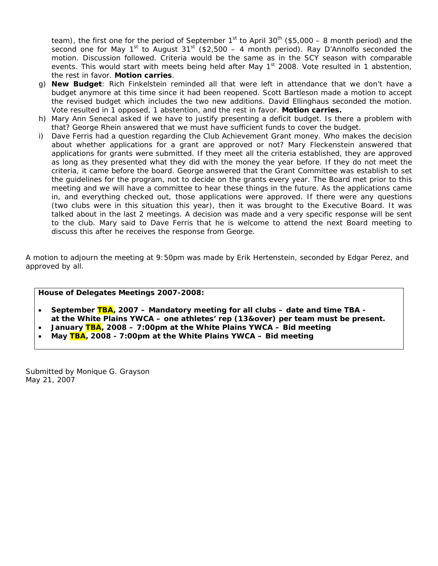team), the first one for the period of September  $1<sup>st</sup>$  to April 30<sup>th</sup> (\$5,000 – 8 month period) and the second one for May 1<sup>st</sup> to August 31<sup>st</sup> (\$2,500 – 4 month period). Ray D'Annolfo seconded the motion. Discussion followed. Criteria would be the same as in the SCY season with comparable events. This would start with meets being held after May 1<sup>st</sup> 2008. Vote resulted in 1 abstention, the rest in favor. **Motion carries**.

- g) **New Budget**: Rich Finkelstein reminded all that were left in attendance that we don't have a budget anymore at this time since it had been reopened. Scott Bartleson made a motion to accept the revised budget which includes the two new additions. David Ellinghaus seconded the motion. Vote resulted in 1 opposed, 1 abstention, and the rest in favor. **Motion carries.**
- h) Mary Ann Senecal asked if we have to justify presenting a deficit budget. Is there a problem with that? George Rhein answered that we must have sufficient funds to cover the budget.
- i) Dave Ferris had a question regarding the Club Achievement Grant money. Who makes the decision about whether applications for a grant are approved or not? Mary Fleckenstein answered that applications for grants were submitted. If they meet all the criteria established, they are approved as long as they presented what they did with the money the year before. If they do not meet the criteria, it came before the board. George answered that the Grant Committee was establish to set the guidelines for the program, not to decide on the grants every year. The Board met prior to this meeting and we will have a committee to hear these things in the future. As the applications came in, and everything checked out, those applications were approved. If there were any questions (two clubs were in this situation this year), then it was brought to the Executive Board. It was talked about in the last 2 meetings. A decision was made and a very specific response will be sent to the club. Mary said to Dave Ferris that he is welcome to attend the next Board meeting to discuss this after he receives the response from George.

A motion to adjourn the meeting at 9:50pm was made by Erik Hertenstein, seconded by Edgar Perez, and approved by all.

#### **House of Delegates Meetings 2007-2008:**

- **September TBA, 2007 Mandatory meeting for all clubs date and time TBA at the White Plains YWCA – one athletes' rep (13&over) per team must be present.**
- **January TBA, 2008 7:00pm at the White Plains YWCA Bid meeting**
- **May TBA, 2008 7:00pm at the White Plains YWCA Bid meeting**

Submitted by Monique G. Grayson May 21, 2007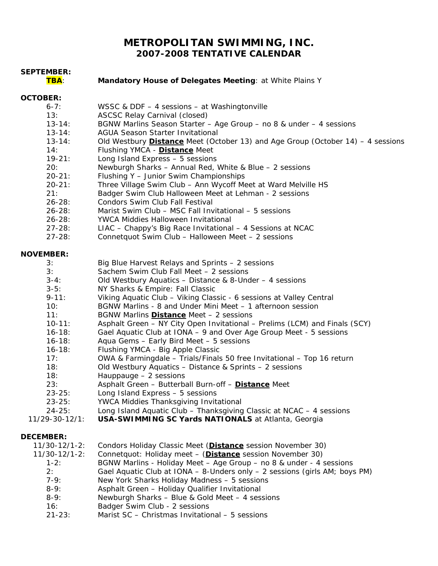# **METROPOLITAN SWIMMING, INC. 2007-2008 TENTATIVE CALENDAR**

| <b>SEPTEMBER:</b><br>TBA: | Mandatory House of Delegates Meeting: at White Plains Y                                                                           |
|---------------------------|-----------------------------------------------------------------------------------------------------------------------------------|
| <b>OCTOBER:</b>           |                                                                                                                                   |
| $6 - 7:$                  | WSSC & DDF - 4 sessions - at Washingtonville                                                                                      |
| 13:<br>$13 - 14:$         | <b>ASCSC Relay Carnival (closed)</b>                                                                                              |
| $13 - 14:$                | BGNW Marlins Season Starter - Age Group - no 8 & under - 4 sessions<br><b>AGUA Season Starter Invitational</b>                    |
| $13 - 14:$                | Old Westbury <b>Distance</b> Meet (October 13) and Age Group (October 14) $-$ 4 sessions                                          |
| 14:                       | Flushing YMCA - Distance Meet                                                                                                     |
| $19 - 21:$                | Long Island Express - 5 sessions                                                                                                  |
| 20:                       | Newburgh Sharks - Annual Red, White & Blue - 2 sessions                                                                           |
| $20 - 21:$                | Flushing Y - Junior Swim Championships                                                                                            |
| $20 - 21:$                | Three Village Swim Club - Ann Wycoff Meet at Ward Melville HS                                                                     |
| 21:                       | Badger Swim Club Halloween Meet at Lehman - 2 sessions                                                                            |
| $26 - 28$ :               | Condors Swim Club Fall Festival                                                                                                   |
| $26 - 28$ :               | Marist Swim Club - MSC Fall Invitational - 5 sessions<br>YWCA Middies Halloween Invitational                                      |
| $26 - 28:$<br>$27 - 28:$  | LIAC - Chappy's Big Race Invitational - 4 Sessions at NCAC                                                                        |
| $27 - 28:$                | Connetquot Swim Club - Halloween Meet - 2 sessions                                                                                |
|                           |                                                                                                                                   |
| <b>NOVEMBER:</b>          |                                                                                                                                   |
| 3:                        | Big Blue Harvest Relays and Sprints - 2 sessions                                                                                  |
| 3:                        | Sachem Swim Club Fall Meet - 2 sessions                                                                                           |
| $3-4:$                    | Old Westbury Aquatics - Distance & 8-Under - 4 sessions                                                                           |
| $3-5:$                    | NY Sharks & Empire: Fall Classic                                                                                                  |
| $9 - 11:$<br>10:          | Viking Aquatic Club - Viking Classic - 6 sessions at Valley Central<br>BGNW Marlins - 8 and Under Mini Meet - 1 afternoon session |
| 11:                       | BGNW Marlins <b>Distance</b> Meet - 2 sessions                                                                                    |
| $10 - 11:$                | Asphalt Green - NY City Open Invitational - Prelims (LCM) and Finals (SCY)                                                        |
| $16 - 18:$                | Gael Aquatic Club at IONA - 9 and Over Age Group Meet - 5 sessions                                                                |
| $16 - 18:$                | Aqua Gems - Early Bird Meet - 5 sessions                                                                                          |
| $16 - 18:$                | Flushing YMCA - Big Apple Classic                                                                                                 |
| 17:                       | OWA & Farmingdale - Trials/Finals 50 free Invitational - Top 16 return                                                            |
| 18:                       | Old Westbury Aquatics - Distance & Sprints - 2 sessions                                                                           |
| 18:                       | Hauppauge - 2 sessions                                                                                                            |
| 23:                       | Asphalt Green - Butterball Burn-off - Distance Meet                                                                               |
| $23 - 25:$                | Long Island Express - 5 sessions                                                                                                  |
| $23 - 25:$<br>$24 - 25:$  | YWCA Middies Thanksgiving Invitational<br>Long Island Aquatic Club - Thanksgiving Classic at NCAC - 4 sessions                    |
| 11/29-30-12/1:            | USA-SWIMMING SC Yards NATIONALS at Atlanta, Georgia                                                                               |
|                           |                                                                                                                                   |
| <b>DECEMBER:</b>          |                                                                                                                                   |
| $11/30 - 12/1 - 2$ :      | Condors Holiday Classic Meet (Distance session November 30)                                                                       |
| 11/30-12/1-2:             | Connetquot: Holiday meet - (Distance session November 30)                                                                         |
| $1-2:$                    | BGNW Marlins - Holiday Meet - Age Group - no 8 & under - 4 sessions                                                               |
| 2:<br>$7-9:$              | Gael Aquatic Club at IONA - 8-Unders only - 2 sessions (girls AM; boys PM)<br>New York Sharks Holiday Madness - 5 sessions        |

- 8-9: Asphalt Green Holiday Qualifier Invitational
- 8-9: Newburgh Sharks Blue & Gold Meet 4 sessions
- 16: Badger Swim Club 2 sessions
	- 21-23: Marist SC Christmas Invitational 5 sessions